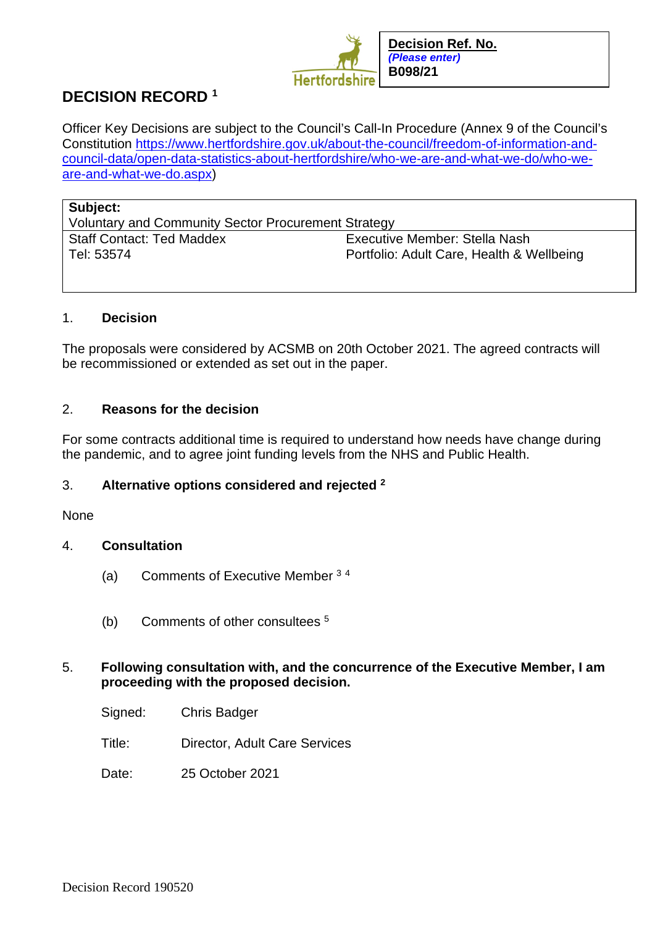

# **DECISION RECORD <sup>1</sup>**

Officer Key Decisions are subject to the Council's Call-In Procedure (Annex 9 of the Council's Constitution [https://www.hertfordshire.gov.uk/about-the-council/freedom-of-information-and](https://www.hertfordshire.gov.uk/about-the-council/freedom-of-information-and-council-data/open-data-statistics-about-hertfordshire/who-we-are-and-what-we-do/who-we-are-and-what-we-do.aspx)[council-data/open-data-statistics-about-hertfordshire/who-we-are-and-what-we-do/who-we](https://www.hertfordshire.gov.uk/about-the-council/freedom-of-information-and-council-data/open-data-statistics-about-hertfordshire/who-we-are-and-what-we-do/who-we-are-and-what-we-do.aspx)[are-and-what-we-do.aspx\)](https://www.hertfordshire.gov.uk/about-the-council/freedom-of-information-and-council-data/open-data-statistics-about-hertfordshire/who-we-are-and-what-we-do/who-we-are-and-what-we-do.aspx)

| Subject:<br>Voluntary and Community Sector Procurement Strategy |                                           |
|-----------------------------------------------------------------|-------------------------------------------|
| <b>Staff Contact: Ted Maddex</b>                                | Executive Member: Stella Nash             |
| Tel: 53574                                                      | Portfolio: Adult Care, Health & Wellbeing |

## 1. **Decision**

The proposals were considered by ACSMB on 20th October 2021. The agreed contracts will be recommissioned or extended as set out in the paper.

# 2. **Reasons for the decision**

For some contracts additional time is required to understand how needs have change during the pandemic, and to agree joint funding levels from the NHS and Public Health.

# 3. **Alternative options considered and rejected <sup>2</sup>**

#### None

#### 4. **Consultation**

- (a) Comments of Executive Member <sup>3</sup> <sup>4</sup>
- (b) Comments of other consultees <sup>5</sup>

## 5. **Following consultation with, and the concurrence of the Executive Member, I am proceeding with the proposed decision.**

- Signed: Chris Badger
- Title: Director, Adult Care Services
- Date: 25 October 2021